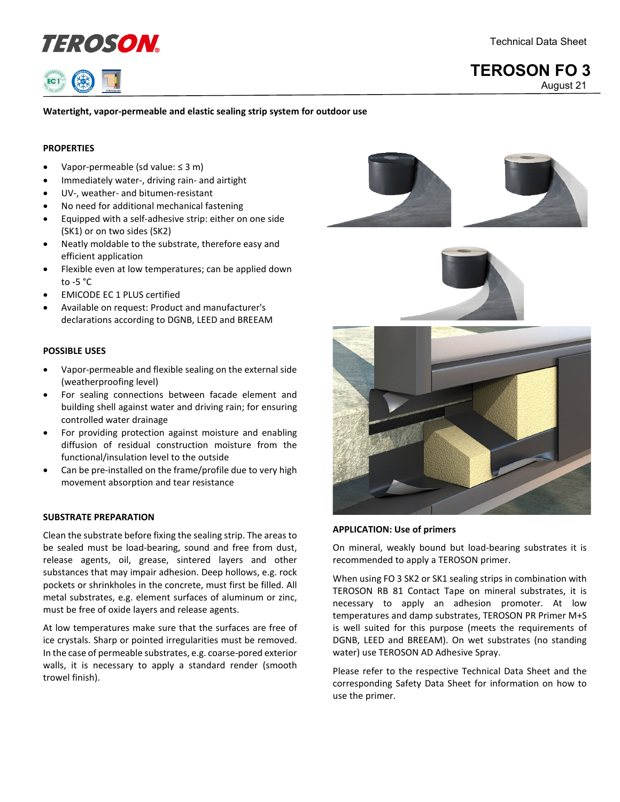



# **Watertight, vapor-permeable and elastic sealing strip system for outdoor use**

# **PROPERTIES**

- Vapor-permeable (sd value: ≤ 3 m)
- Immediately water-, driving rain- and airtight
- UV-, weather- and bitumen-resistant
- No need for additional mechanical fastening
- Equipped with a self-adhesive strip: either on one side (SK1) or on two sides (SK2)
- Neatly moldable to the substrate, therefore easy and efficient application
- Flexible even at low temperatures; can be applied down to  $-5$   $^{\circ}$ C
- EMICODE EC 1 PLUS certified
- Available on request: Product and manufacturer's declarations according to DGNB, LEED and BREEAM

#### **POSSIBLE USES**

- Vapor-permeable and flexible sealing on the external side (weatherproofing level)
- For sealing connections between facade element and building shell against water and driving rain; for ensuring controlled water drainage
- For providing protection against moisture and enabling diffusion of residual construction moisture from the functional/insulation level to the outside
- Can be pre-installed on the frame/profile due to very high movement absorption and tear resistance

## **SUBSTRATE PREPARATION**

Clean the substrate before fixing the sealing strip. The areas to be sealed must be load-bearing, sound and free from dust, release agents, oil, grease, sintered layers and other substances that may impair adhesion. Deep hollows, e.g. rock pockets or shrinkholes in the concrete, must first be filled. All metal substrates, e.g. element surfaces of aluminum or zinc, must be free of oxide layers and release agents.

At low temperatures make sure that the surfaces are free of ice crystals. Sharp or pointed irregularities must be removed. In the case of permeable substrates, e.g. coarse-pored exterior walls, it is necessary to apply a standard render (smooth trowel finish).







#### **APPLICATION: Use of primers**

On mineral, weakly bound but load-bearing substrates it is recommended to apply a TEROSON primer.

When using FO 3 SK2 or SK1 sealing strips in combination with TEROSON RB 81 Contact Tape on mineral substrates, it is necessary to apply an adhesion promoter. At low temperatures and damp substrates, TEROSON PR Primer M+S is well suited for this purpose (meets the requirements of DGNB, LEED and BREEAM). On wet substrates (no standing water) use TEROSON AD Adhesive Spray.

Please refer to the respective Technical Data Sheet and the corresponding Safety Data Sheet for information on how to use the primer.